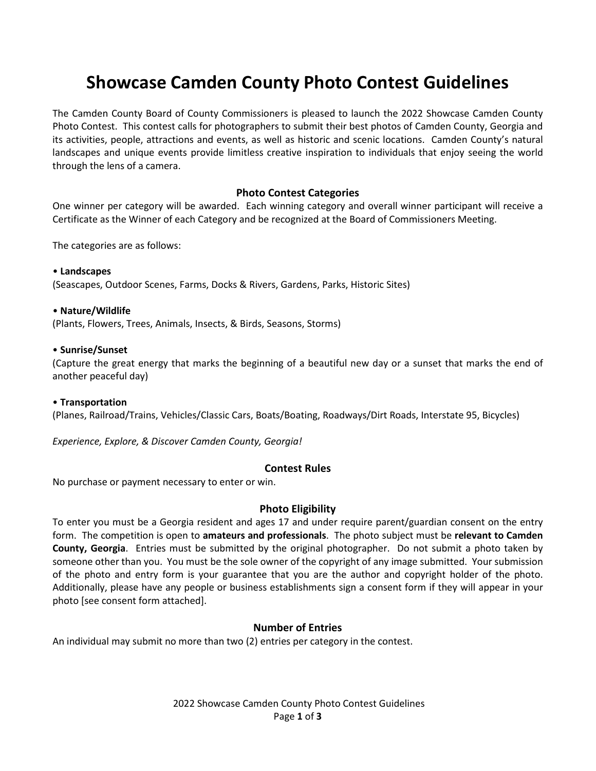# **Showcase Camden County Photo Contest Guidelines**

The Camden County Board of County Commissioners is pleased to launch the 2022 Showcase Camden County Photo Contest. This contest calls for photographers to submit their best photos of Camden County, Georgia and its activities, people, attractions and events, as well as historic and scenic locations. Camden County's natural landscapes and unique events provide limitless creative inspiration to individuals that enjoy seeing the world through the lens of a camera.

# **Photo Contest Categories**

One winner per category will be awarded. Each winning category and overall winner participant will receive a Certificate as the Winner of each Category and be recognized at the Board of Commissioners Meeting.

The categories are as follows:

#### • **Landscapes**

(Seascapes, Outdoor Scenes, Farms, Docks & Rivers, Gardens, Parks, Historic Sites)

#### • **Nature/Wildlife**

(Plants, Flowers, Trees, Animals, Insects, & Birds, Seasons, Storms)

#### • **Sunrise/Sunset**

(Capture the great energy that marks the beginning of a beautiful new day or a sunset that marks the end of another peaceful day)

#### • **Transportation**

(Planes, Railroad/Trains, Vehicles/Classic Cars, Boats/Boating, Roadways/Dirt Roads, Interstate 95, Bicycles)

*Experience, Explore, & Discover Camden County, Georgia!*

# **Contest Rules**

No purchase or payment necessary to enter or win.

# **Photo Eligibility**

To enter you must be a Georgia resident and ages 17 and under require parent/guardian consent on the entry form. The competition is open to **amateurs and professionals**. The photo subject must be **relevant to Camden County, Georgia**. Entries must be submitted by the original photographer. Do not submit a photo taken by someone other than you. You must be the sole owner of the copyright of any image submitted. Your submission of the photo and entry form is your guarantee that you are the author and copyright holder of the photo. Additionally, please have any people or business establishments sign a consent form if they will appear in your photo [see consent form attached].

# **Number of Entries**

An individual may submit no more than two (2) entries per category in the contest.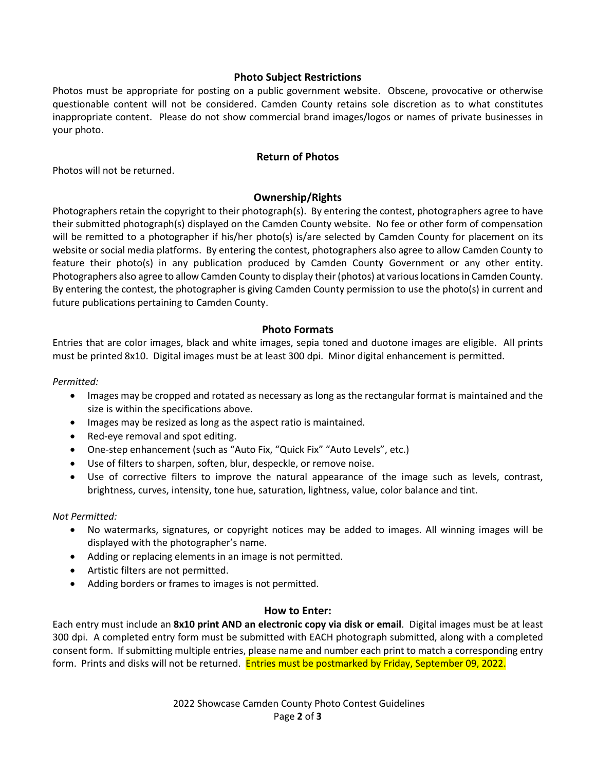# **Photo Subject Restrictions**

Photos must be appropriate for posting on a public government website. Obscene, provocative or otherwise questionable content will not be considered. Camden County retains sole discretion as to what constitutes inappropriate content. Please do not show commercial brand images/logos or names of private businesses in your photo.

# **Return of Photos**

Photos will not be returned.

# **Ownership/Rights**

Photographers retain the copyright to their photograph(s). By entering the contest, photographers agree to have their submitted photograph(s) displayed on the Camden County website. No fee or other form of compensation will be remitted to a photographer if his/her photo(s) is/are selected by Camden County for placement on its website or social media platforms. By entering the contest, photographers also agree to allow Camden County to feature their photo(s) in any publication produced by Camden County Government or any other entity. Photographers also agree to allow Camden County to display their (photos) at various locations in Camden County. By entering the contest, the photographer is giving Camden County permission to use the photo(s) in current and future publications pertaining to Camden County.

# **Photo Formats**

Entries that are color images, black and white images, sepia toned and duotone images are eligible. All prints must be printed 8x10. Digital images must be at least 300 dpi. Minor digital enhancement is permitted.

# *Permitted:*

- Images may be cropped and rotated as necessary as long as the rectangular format is maintained and the size is within the specifications above.
- Images may be resized as long as the aspect ratio is maintained.
- Red-eye removal and spot editing.
- One-step enhancement (such as "Auto Fix, "Quick Fix" "Auto Levels", etc.)
- Use of filters to sharpen, soften, blur, despeckle, or remove noise.
- Use of corrective filters to improve the natural appearance of the image such as levels, contrast, brightness, curves, intensity, tone hue, saturation, lightness, value, color balance and tint.

# *Not Permitted:*

- No watermarks, signatures, or copyright notices may be added to images. All winning images will be displayed with the photographer's name.
- Adding or replacing elements in an image is not permitted.
- Artistic filters are not permitted.
- Adding borders or frames to images is not permitted.

# **How to Enter:**

Each entry must include an **8x10 print AND an electronic copy via disk or email**. Digital images must be at least 300 dpi. A completed entry form must be submitted with EACH photograph submitted, along with a completed consent form. If submitting multiple entries, please name and number each print to match a corresponding entry form. Prints and disks will not be returned. Entries must be postmarked by Friday, September 09, 2022.